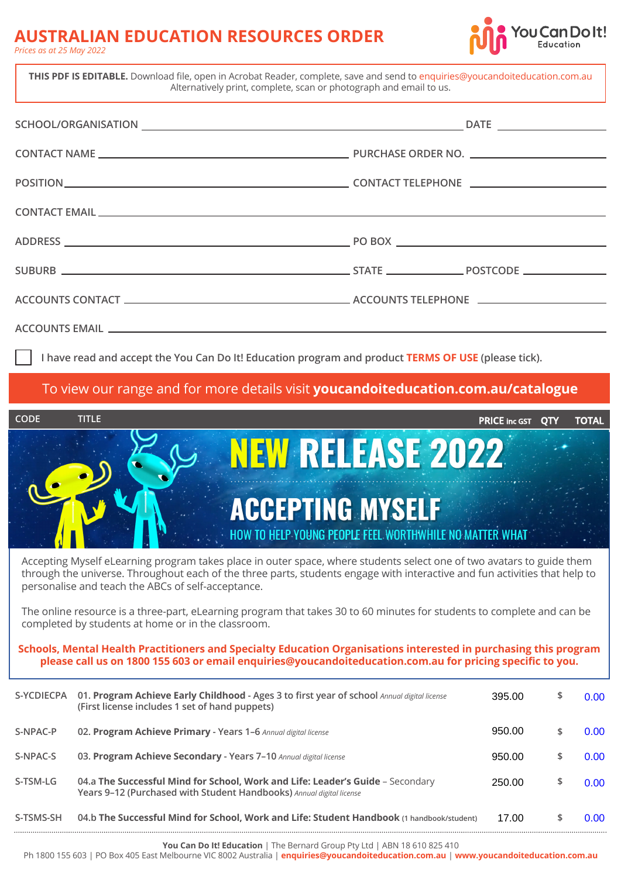## **AUSTRALIAN EDUCATION RESOURCES ORDER**

| <b>AUSTRALIAN EDUCATION RESOURCES ORDER</b><br>Prices as at 25 May 2022                                                                                                                                                                                                                                   |                                                                                                     | <b>You Can Dolt!</b>                     |
|-----------------------------------------------------------------------------------------------------------------------------------------------------------------------------------------------------------------------------------------------------------------------------------------------------------|-----------------------------------------------------------------------------------------------------|------------------------------------------|
| THIS PDF IS EDITABLE. Download file, open in Acrobat Reader, complete, save and send to enquiries@youcandoiteducation.com.au                                                                                                                                                                              | Alternatively print, complete, scan or photograph and email to us.                                  |                                          |
|                                                                                                                                                                                                                                                                                                           |                                                                                                     |                                          |
|                                                                                                                                                                                                                                                                                                           |                                                                                                     |                                          |
|                                                                                                                                                                                                                                                                                                           |                                                                                                     |                                          |
|                                                                                                                                                                                                                                                                                                           |                                                                                                     |                                          |
|                                                                                                                                                                                                                                                                                                           |                                                                                                     |                                          |
|                                                                                                                                                                                                                                                                                                           |                                                                                                     |                                          |
|                                                                                                                                                                                                                                                                                                           |                                                                                                     |                                          |
|                                                                                                                                                                                                                                                                                                           |                                                                                                     |                                          |
|                                                                                                                                                                                                                                                                                                           | I have read and accept the You Can Do It! Education program and product TERMS OF USE (please tick). |                                          |
|                                                                                                                                                                                                                                                                                                           | To view our range and for more details visit youcandoiteducation.com.au/catalogue                   |                                          |
| <b>CODE</b><br><b>TITLE</b>                                                                                                                                                                                                                                                                               |                                                                                                     | <b>PRICE inc GST QTY</b><br><b>TOTAL</b> |
|                                                                                                                                                                                                                                                                                                           | <b>NEW RELEASE 2022</b>                                                                             |                                          |
|                                                                                                                                                                                                                                                                                                           | <b>ACCEPTING MYSELF</b><br>HOW TO HELP YOUNG PEOPLE FEEL WORTHWHILE NO MATTER WHAT                  |                                          |
| Accepting Myself eLearning program takes place in outer space, where students select one of two avatars to guide them<br>through the universe. Throughout each of the three parts, students engage with interactive and fun activities that help to<br>personalise and teach the ABCs of self-acceptance. |                                                                                                     |                                          |
| The online resource is a three-part, eLearning program that takes 30 to 60 minutes for students to complete and can be<br>completed by students at home or in the classroom.                                                                                                                              |                                                                                                     |                                          |

**Schools, Mental Health Practitioners and Specialty Education Organisations interested in purchasing this program please call us on 1800 155 603 or email enquiries@youcandoiteducation.com.au for pricing specific to you.**

| S-YCDIECPA | 01. Program Achieve Early Childhood - Ages 3 to first year of school Annual digital license<br>(First license includes 1 set of hand puppets)          | 395.00 | \$<br>0.00 |
|------------|--------------------------------------------------------------------------------------------------------------------------------------------------------|--------|------------|
| S-NPAC-P   | 02. Program Achieve Primary - Years 1-6 Annual digital license                                                                                         | 950.00 | $0.00 -$   |
| S-NPAC-S   | 03. Program Achieve Secondary - Years 7-10 Annual digital license                                                                                      | 950.00 | $0.00 -$   |
| S-TSM-LG   | 04.a The Successful Mind for School, Work and Life: Leader's Guide - Secondary<br>Years 9-12 (Purchased with Student Handbooks) Annual digital license | 250.00 | 0.00       |
| S-TSMS-SH  | 04.b The Successful Mind for School, Work and Life: Student Handbook (1 handbook/student)                                                              | 17.00  | $0.00 -$   |

**You Can Do It! Education** | The Bernard Group Pty Ltd | ABN 18 610 825 410

Ph 1800 155 603 | PO Box 405 East Melbourne VIC 8002 Australia | **[enquiries@youcandoiteducation.com.au](mailto:enquiries@youcandoiteducation.com.au)** | **[www.youcandoiteducation.com.au](https://www.youcandoiteducation.com.au)**